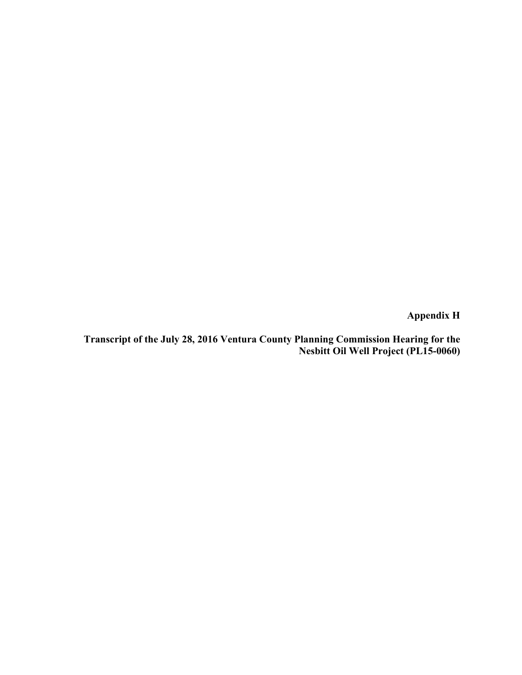**Appendix H** 

**Transcript of the July 28, 2016 Ventura County Planning Commission Hearing for the Nesbitt Oil Well Project (PL15-0060)**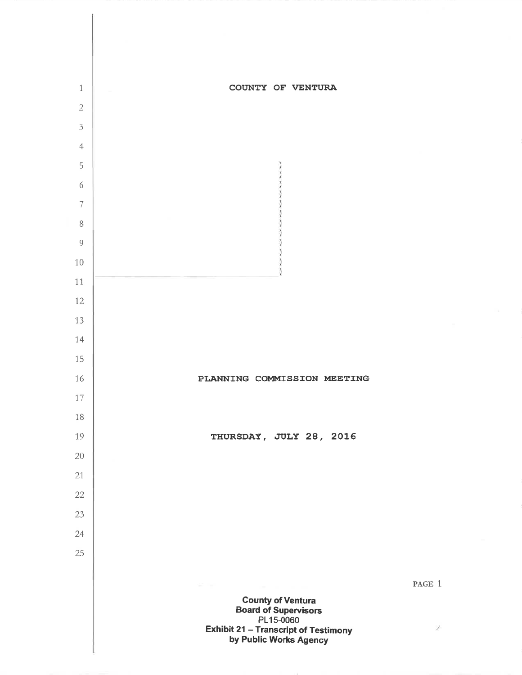

P.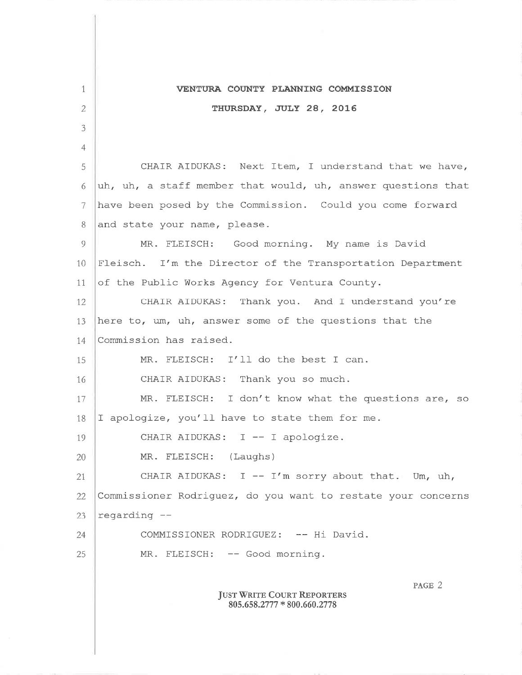| 1  | VENTURA COUNTY PLANNING COMMISSION                                         |
|----|----------------------------------------------------------------------------|
| 2  | THURSDAY, JULY 28, 2016                                                    |
| 3  |                                                                            |
| 4  |                                                                            |
| 5  | CHAIR AIDUKAS: Next Item, I understand that we have,                       |
| 6  | uh, uh, a staff member that would, uh, answer questions that               |
| 7  | have been posed by the Commission. Could you come forward                  |
|    |                                                                            |
| 8  | and state your name, please.                                               |
| 9  | MR. FLEISCH: Good morning. My name is David                                |
| 10 | Fleisch. I'm the Director of the Transportation Department                 |
| 11 | of the Public Works Agency for Ventura County.                             |
| 12 | CHAIR AIDUKAS: Thank you. And I understand you're                          |
| 13 | here to, um, uh, answer some of the questions that the                     |
| 14 | Commission has raised.                                                     |
| 15 | MR. FLEISCH: I'll do the best I can.                                       |
| 16 | CHAIR AIDUKAS: Thank you so much.                                          |
| 17 | MR. FLEISCH: I don't know what the questions are, so                       |
| 18 | I apologize, you'll have to state them for me.                             |
| 19 | CHAIR AIDUKAS: I -- I apologize.                                           |
| 20 | MR. FLEISCH: (Laughs)                                                      |
| 21 | CHAIR AIDUKAS: $I - I'm$ sorry about that. Um, uh,                         |
| 22 | Commissioner Rodriguez, do you want to restate your concerns               |
| 23 | regarding --                                                               |
| 24 | COMMISSIONER RODRIGUEZ: -- Hi David.                                       |
| 25 | MR. FLEISCH: -- Good morning.                                              |
|    | PAGE 2<br><b>JUST WRITE COURT REPORTERS</b><br>$805.658.2777*800.660.2778$ |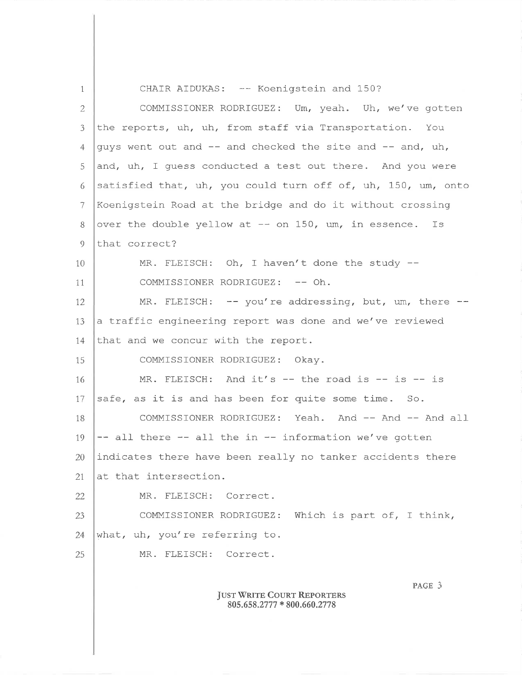1 2 3 4 5 6  $\tau$ 8  $\overline{Q}$ 10 1,1, 12. 13 1,4 15 1.6 17 18 19 20 21. 22 23 24 25 CHAIR AIDUKAS: -- Koenigstein and 150? COMMISSIONER RODRIGUEZ: Um, yeah. Uh, we/ve gotten the reports, uh, uh, from staff via Transportation. You guys went out and  $--$  and checked the site and  $--$  and, uh, and, uh, I guess conducted a test out there. And you were satisfied that, uh, you could turn off of, uh, 150, um, onto Koenigstein Road at the bridge and do it without crossinq over the double yellow at  $--$  on 150, um, in essence. Is that correct? MR. FLEISCH: Oh, I haven't done the study --COMMISSIONER RODRIGUEZ: -- Oh. MR. FLEISCH:  $--$  you're addressing, but, um, there  $-$ a traffic engineering report was done and we've reviewed that and we concur with the report. COMMISSIONER RODRIGUEZ: Okay. MR. FLEISCH: And it's  $--$  the road is  $--$  is  $--$  is safe, as it is and has been for quite some time. So. COMMISSIONER RODRIGUEZ: Yeah. And -- And -- And all  $--$  all there  $--$  all the in  $--$  information we've gotten indicates there have been really no tanker accidents there at that intersection. MR. FLEISCH: Correct. COMMISSIONER RODRIGUEZ: Which is part of, I think, what, uh, you're referring to. MR. FLEISCH: Correct. JUST WRITE COURT REPORTERS 805.658.2777 \* 800.660.2778 PAGE 3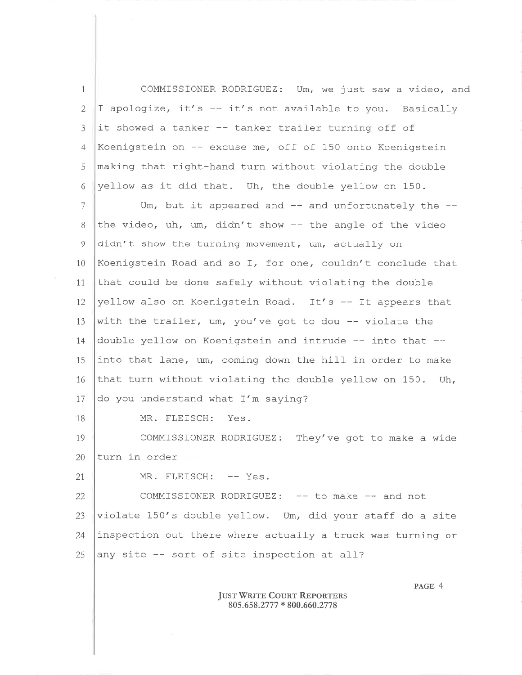1 2 J 4 5 6 7 8 9 10 1.1 12 1,3 1,4 15 COMMISSIONER RODRIGUEZ: Um, we just saw a video, and I apologize, it's  $-$  it's not available to you. Basically it showed a tanker -- tanker trailer turning off of Koenigstein on  $-$ - excuse me, off of 150 onto Koenigstein making that right-hand turn without violating the double yellow as it did that. Uh, the double yellow on 150. Um, but it appeared and  $--$  and unfortunately the  $-$ the video, uh, um, didn't show  $-$  the angle of the video didn't show the turning movement, um, actually on Koenigstein Road and so I, for one, couldn't conclude that that could be done safely without violating the double yellow also on Koenigstein Road. It's  $-$  It appears that with the trailer, um, you've got to dou  $-$ - violate the double yellow on Koenigstein and intrude  $--$  into that  $-$ into that lane, um, coming down the hill in order to make

1,6 17 that turn without violating the double yellow on 150, Uh, do you understand what I'm saying?

MR. FLEISCH: Yes.

1.9 20 COMMISSIONER RODRIGUEZ: They've got to make a wide turn in order

21

1B

MR. FLEISCH: -- Yes.

22 23 24 25 COMMISSIONER RODRIGUEZ: -- to make -- and not violate 150's double yellow. Um, did your staff do a site inspection out there where actually a truck was turning or any site  $-$  sort of site inspection at all?

## JUST WRITE COURT REPORTERS 805.658.277 7 \* 800.660.27 7 <sup>8</sup>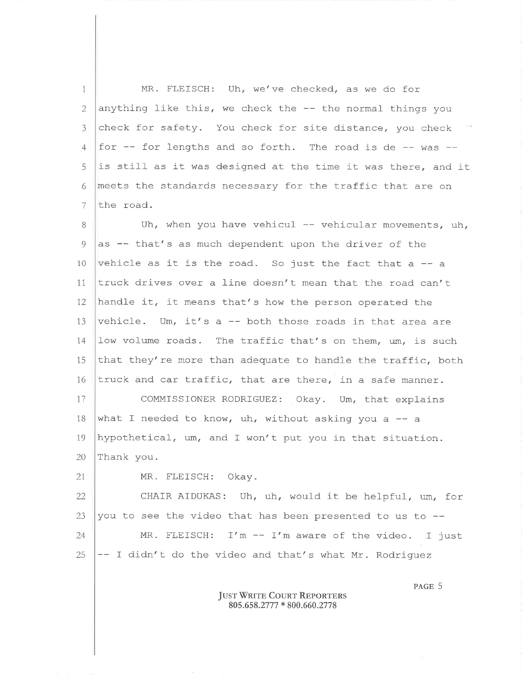1 2 J 4 5 6 7 MR. FLEISCH: Uh, we've checked, as we do for anything like this, we check the  $-$ - the normal things you check for safety. You check for site distance, you check for  $-$  for lengths and so forth. The road is de  $-$  was  $$ is still as it was designed at the time it was there, and it meets the standards necessary for the traffic that are on the road.

8 9 10 1,1 12 13 14 15 1,6 17 18 19 20 Uh, when you have vehicul  $-$  vehicular movements, uh, as  $-$  that's as much dependent upon the driver of the vehicle as it is the road. So just the fact that a  $-$ - a truck drives over a line doesn't mean that the road can't handle it, it means that's how the person operated the vehicle. Um, it's a  $-$  both those roads in that area are low volume roads. The traffic that's on them, um, is such that they're more than adequate to handle the traffic, both truck and car traffic, that are there, in a safe manner. COMMISSIONER RODRIGUEZ: Okay. Um, that explains what I needed to know, uh, without asking you a  $-$  a hypothetical, um, and I won't put you in that situation. Thank you.

21,

MR. FLEISCH: Okay.

22 23 24 25 CHAIR AIDUKAS: Uh, uh, would it be helpful, um, for you to see the video that has been presented to us to --MR. FLEISCH: T'm -- I'm aware of the video. I just -- I didn't do the video and that's what Mr. Rodriguez

> Just Write Court Reporters  $805.658.2777 * 800.660.2778$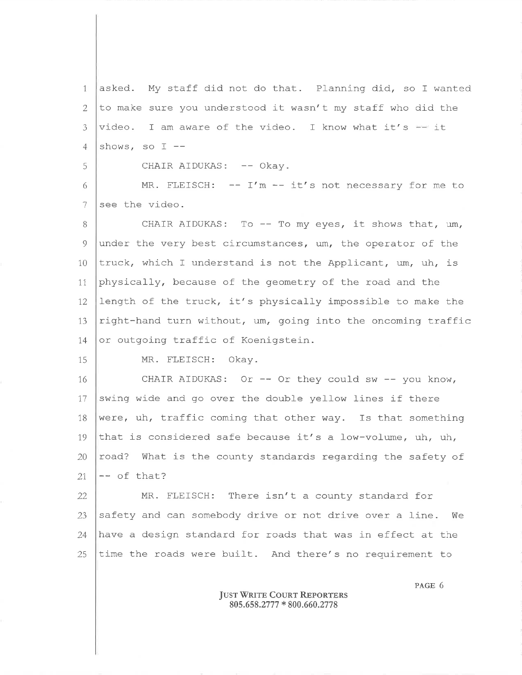1, 2 3 4 asked. My staff did not do that. Planning did, so I wanted to make sure you understood it wasn't my staff who did the video. I am aware of the video. I know what it's -- it shows, so I

CHAIR AIDUKAS: -- Okay.

6 7 MR. FLEISCH:  $-- I'm -- it's not necessary for me to$ see the video.

8 9 10 1,1, 12 13 1,4 CHAIR AIDUKAS: To  $-$  To my eyes, it shows that, um, under the very best circumstances, um, the operator of the truck, which I understand is not the Applicant, um, uh, is physically, because of the geometry of the road and the length of the truck, it's physically impossible to make the right-hand turn without, um, going into the oncoming traffic or outqoinq traffic of Koenigstein.

15

5

MR. FLEISCH: Okay.

16 17 1B 19 20 21, CHAIR AIDUKAS: Or  $--$  Or they could sw  $--$  you know, swing wide and go over the double yellow lines if there were, uh, traffic coming that other way. Is that something that is considered safe because it's a low-volume, uh, uh, road? What is the county standards regarding the safety of -- of that?

22 23 24 25 MR. FLEISCH: There isn't a county standard for safety and can somebody drive or not drive over a line. We have a design standard for roads that was in effect at the time the roads were built. And there's no requirement to

> **JUST WRITE COURT REPORTERS** 805.658.2777 \* 800.660.2778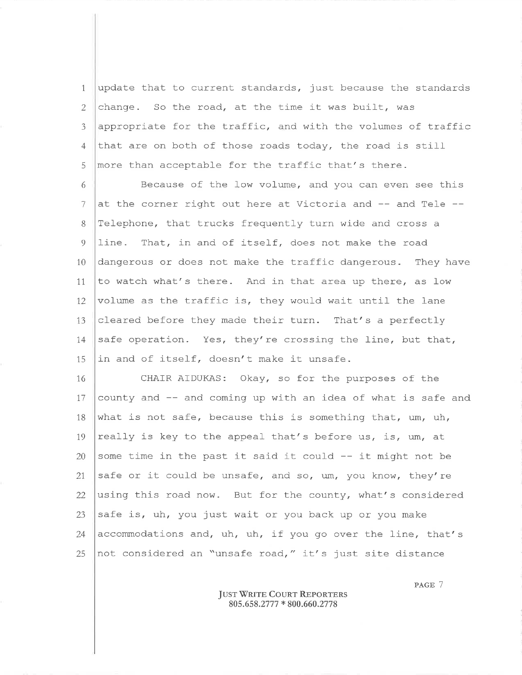update that to current standards, just because the standards  $\mathbf{1}$ change. So the road, at the time it was built, was  $\overline{2}$ appropriate for the traffic, and with the volumes of traffic  $\mathfrak{Z}$ that are on both of those roads today, the road is still  $\overline{4}$ more than acceptable for the traffic that's there. 5

Because of the low volume, and you can even see this 6 at the corner right out here at Victoria and -- and Tele --7 8 Telephone, that trucks frequently turn wide and cross a  $\overline{Q}$ line. That, in and of itself, does not make the road 10 dangerous or does not make the traffic dangerous. They have 11 to watch what's there. And in that area up there, as low volume as the traffic is, they would wait until the lane  $12<sup>°</sup>$ cleared before they made their turn. That's a perfectly 13 safe operation. Yes, they're crossing the line, but that, 14 in and of itself, doesn't make it unsafe. 15

16 CHAIR AIDUKAS: Okay, so for the purposes of the county and -- and coming up with an idea of what is safe and 17 what is not safe, because this is something that, um, uh, 18 really is key to the appeal that's before us, is, um, at 19 some time in the past it said it could -- it might not be 20 safe or it could be unsafe, and so, um, you know, they're 21 22 using this road now. But for the county, what's considered safe is, uh, you just wait or you back up or you make 23 accommodations and, uh, uh, if you go over the line, that's 24 not considered an "unsafe road," it's just site distance 25

> **JUST WRITE COURT REPORTERS** 805.658.2777 \* 800.660.2778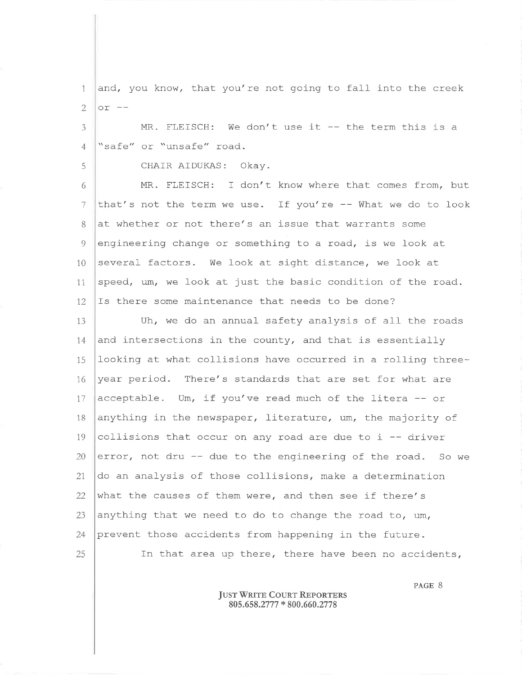and, you know, that you're not going to fall into the creek  $\mathbf{1}$ or  $- \overline{2}$ 

MR. FLEISCH: We don't use it -- the term this is a  $\overline{3}$ "safe" or "unsafe" road.  $\overline{4}$ 

5

CHAIR AIDUKAS: Okay.

6 MR. FLEISCH: I don't know where that comes from, but 7 that's not the term we use. If you're -- What we do to look 8 at whether or not there's an issue that warrants some  $\overline{Q}$ engineering change or something to a road, is we look at several factors. We look at sight distance, we look at 10 speed, um, we look at just the basic condition of the road. 11 12 Is there some maintenance that needs to be done?

Uh, we do an annual safety analysis of all the roads  $13$  $14$ and intersections in the county, and that is essentially looking at what collisions have occurred in a rolling three-15 year period. There's standards that are set for what are 16 acceptable. Um, if you've read much of the litera -- or 17 anything in the newspaper, literature, um, the majority of 18 collisions that occur on any road are due to i -- driver 19 20 error, not dru -- due to the engineering of the road. So we 21 do an analysis of those collisions, make a determination 22 what the causes of them were, and then see if there's 23 anything that we need to do to change the road to, um, 24 prevent those accidents from happening in the future. 25 In that area up there, there have been no accidents,

> **JUST WRITE COURT REPORTERS** 805.658.2777 \* 800.660.2778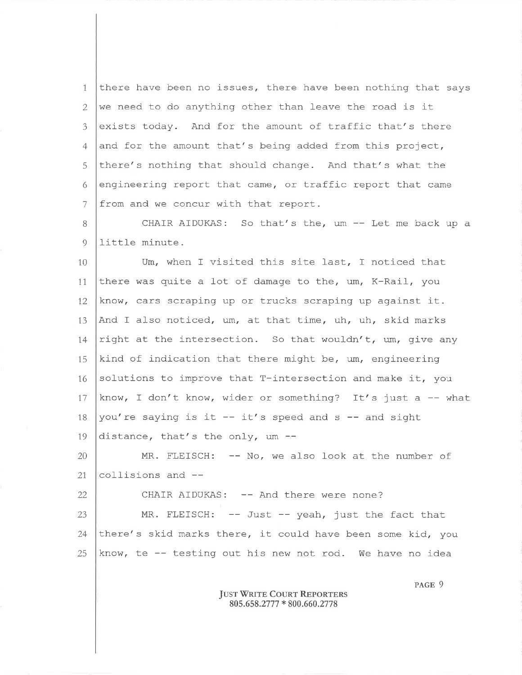1 2 3 4 5 6 7 there have been no issues, there have been nothing that says we need to do anything other than leave the road is it exists today. And for the amount of traffic that's there and for the amount that's being added from this project, there's nothing that should change. And that's what the engineering report that came, or traffic report that came from and we concur with that report.

B 9 CHAIR AIDUKAS: So that's the, um -- Let me back up <sup>a</sup> Iittle minute -

10 11, 12 13  $14$ 15 T6 17 1B 19 Um, when I visited thís site last, T noticed that there was quite a lot of damage to the,  $um, K-Rail, you$ know, cars scraping up or trucks scraping up aqainst it-And I also noticed, um, at that time, uh, uh, skid marks right at the intersection. So that wouldn't, um, give any kind of indication that there might be, um, engineering solutions to improve that T-intersection and make it, you know, I don't know, wider or something? It's just a  $-$  what you're saying is it  $-$  it's speed and  $s$  -- and sight distance, that's the only,  $um = -$ 

20 21 MR. FLEISCH: -- No, we also look at the number of collisions and --

CHAIR AIDUKAS: -- And there were none?

22

23 24 25  $MR.$  FLEISCH:  $--$  Just  $--$  yeah, just the fact that there/ s skid marks there, it could have been some kid, you know, te  $-$  testing out his new not rod. We have no idea

> **JUST WRITE COURT REPORTERS** 805.658.2777 \* 800.660.2778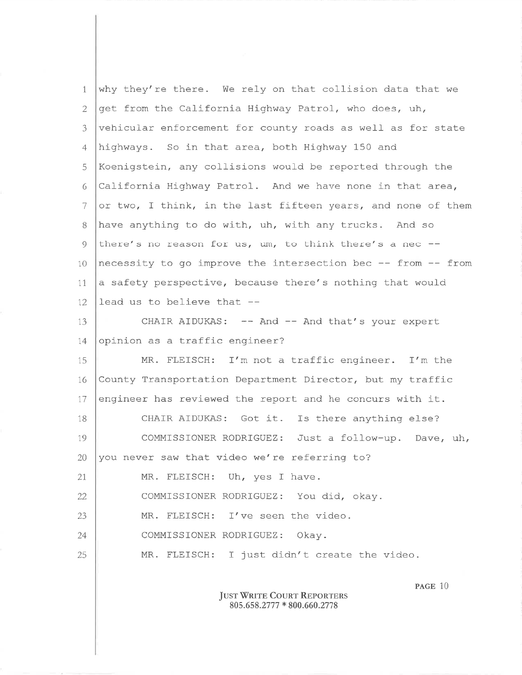| $\mathbf{1}$   | why they're there. We rely on that collision data that we    |
|----------------|--------------------------------------------------------------|
| 2              | get from the California Highway Patrol, who does, uh,        |
| 3              | vehicular enforcement for county roads as well as for state  |
| $\overline{4}$ | highways. So in that area, both Highway 150 and              |
| 5              | Koenigstein, any collisions would be reported through the    |
| 6              | California Highway Patrol. And we have none in that area,    |
| 7              | or two, I think, in the last fifteen years, and none of them |
| 8              | have anything to do with, uh, with any trucks. And so        |
| 9              | there's no reason for us, um, to think there's a nec --      |
| 10             | necessity to go improve the intersection bec -- from -- from |
| 11             | a safety perspective, because there's nothing that would     |
| 12             | lead us to believe that --                                   |
| 13             | CHAIR AIDUKAS: -- And -- And that's your expert              |
| 14             | opinion as a traffic engineer?                               |
| 15             | MR. FLEISCH: I'm not a traffic engineer. I'm the             |
| 16             | County Transportation Department Director, but my traffic    |
| 17             | engineer has reviewed the report and he concurs with it.     |
| 18             | CHAIR AIDUKAS: Got it. Is there anything else?               |
| 19             | COMMISSIONER RODRIGUEZ: Just a follow-up. Dave, uh,          |
| 20             | you never saw that video we're referring to?                 |
| 21             | MR. FLEISCH: Uh, yes I have.                                 |
| 22             | COMMISSIONER RODRIGUEZ: You did, okay.                       |
| 23             | MR. FLEISCH: I've seen the video.                            |
| 24             | COMMISSIONER RODRIGUEZ: Okay.                                |
| 25             | MR. FLEISCH: I just didn't create the video.                 |
|                | $PAGE$ 10                                                    |

## Just Writ<mark>e Cou</mark>rt Reporters 805.658.2777 \* 800.660.2778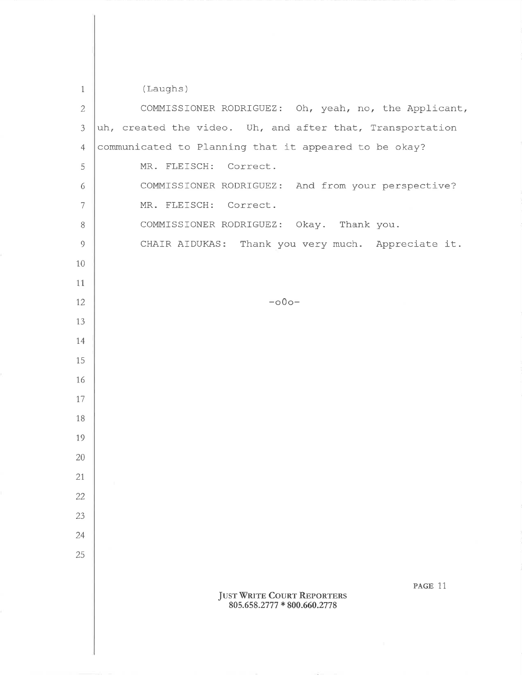(Laughs)

 $\mathbf{1}$ 

COMMISSIONER RODRIGUEZ: Oh, yeah, no, the Applicant,  $\overline{2}$ uh, created the video. Uh, and after that, Transportation  $\overline{3}$ communicated to Planning that it appeared to be okay?  $\overline{4}$ 5 MR. FLEISCH: Correct. 6 COMMISSIONER RODRIGUEZ: And from your perspective? MR. FLEISCH: Correct.  $7\overline{ }$ 8 COMMISSIONER RODRIGUEZ: Okay. Thank you.  $\overline{Q}$ CHAIR AIDUKAS: Thank you very much. Appreciate it. 10 11 12  $-000-$ 13 14 15 16 17 18 19 20 21 22 23 24 25 PAGE 11 **JUST WRITE COURT REPORTERS** 805.658.2777 \* 800.660.2778